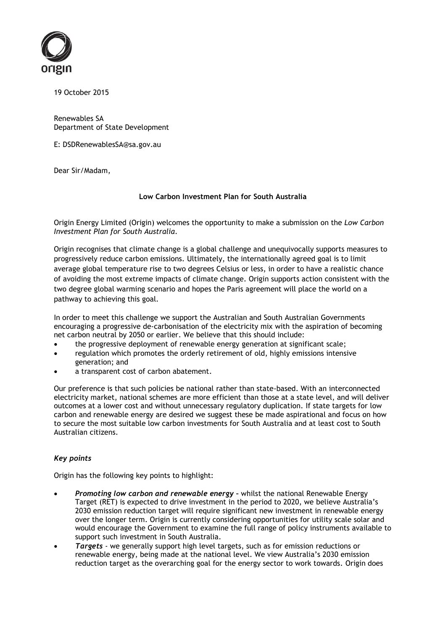

19 October 2015

Renewables SA Department of State Development

E: DSDRenewablesSA@sa.gov.au

Dear Sir/Madam,

# **Low Carbon Investment Plan for South Australia**

Origin Energy Limited (Origin) welcomes the opportunity to make a submission on the *Low Carbon Investment Plan for South Australia*.

Origin recognises that climate change is a global challenge and unequivocally supports measures to progressively reduce carbon emissions. Ultimately, the internationally agreed goal is to limit average global temperature rise to two degrees Celsius or less, in order to have a realistic chance of avoiding the most extreme impacts of climate change. Origin supports action consistent with the two degree global warming scenario and hopes the Paris agreement will place the world on a pathway to achieving this goal.

In order to meet this challenge we support the Australian and South Australian Governments encouraging a progressive de-carbonisation of the electricity mix with the aspiration of becoming net carbon neutral by 2050 or earlier. We believe that this should include:

- the progressive deployment of renewable energy generation at significant scale;
- regulation which promotes the orderly retirement of old, highly emissions intensive generation; and
- a transparent cost of carbon abatement.

Our preference is that such policies be national rather than state-based. With an interconnected electricity market, national schemes are more efficient than those at a state level, and will deliver outcomes at a lower cost and without unnecessary regulatory duplication. If state targets for low carbon and renewable energy are desired we suggest these be made aspirational and focus on how to secure the most suitable low carbon investments for South Australia and at least cost to South Australian citizens.

# *Key points*

Origin has the following key points to highlight:

- *Promoting low carbon and renewable energy –* whilst the national Renewable Energy Target (RET) is expected to drive investment in the period to 2020, we believe Australia's 2030 emission reduction target will require significant new investment in renewable energy over the longer term. Origin is currently considering opportunities for utility scale solar and would encourage the Government to examine the full range of policy instruments available to support such investment in South Australia.
- *Targets*  we generally support high level targets, such as for emission reductions or renewable energy, being made at the national level. We view Australia's 2030 emission reduction target as the overarching goal for the energy sector to work towards. Origin does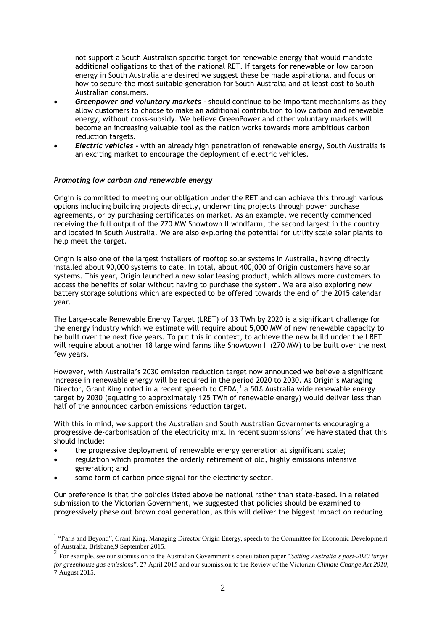not support a South Australian specific target for renewable energy that would mandate additional obligations to that of the national RET. If targets for renewable or low carbon energy in South Australia are desired we suggest these be made aspirational and focus on how to secure the most suitable generation for South Australia and at least cost to South Australian consumers.

- *Greenpower and voluntary markets -* should continue to be important mechanisms as they allow customers to choose to make an additional contribution to low carbon and renewable energy, without cross-subsidy. We believe GreenPower and other voluntary markets will become an increasing valuable tool as the nation works towards more ambitious carbon reduction targets.
- *Electric vehicles -* with an already high penetration of renewable energy, South Australia is an exciting market to encourage the deployment of electric vehicles.

#### *Promoting low carbon and renewable energy*

Origin is committed to meeting our obligation under the RET and can achieve this through various options including building projects directly, underwriting projects through power purchase agreements, or by purchasing certificates on market. As an example, we recently commenced receiving the full output of the 270 MW Snowtown II windfarm, the second largest in the country and located in South Australia. We are also exploring the potential for utility scale solar plants to help meet the target.

Origin is also one of the largest installers of rooftop solar systems in Australia, having directly installed about 90,000 systems to date. In total, about 400,000 of Origin customers have solar systems. This year, Origin launched a new solar leasing product, which allows more customers to access the benefits of solar without having to purchase the system. We are also exploring new battery storage solutions which are expected to be offered towards the end of the 2015 calendar year.

The Large-scale Renewable Energy Target (LRET) of 33 TWh by 2020 is a significant challenge for the energy industry which we estimate will require about 5,000 MW of new renewable capacity to be built over the next five years. To put this in context, to achieve the new build under the LRET will require about another 18 large wind farms like Snowtown II (270 MW) to be built over the next few years.

However, with Australia's 2030 emission reduction target now announced we believe a significant increase in renewable energy will be required in the period 2020 to 2030. As Origin's Managing Director, Grant King noted in a recent speech to CEDA, $<sup>1</sup>$  a 50% Australia wide renewable energy</sup> target by 2030 (equating to approximately 125 TWh of renewable energy) would deliver less than half of the announced carbon emissions reduction target.

With this in mind, we support the Australian and South Australian Governments encouraging a progressive de-carbonisation of the electricity mix. In recent submissions<sup>2</sup> we have stated that this should include:

- the progressive deployment of renewable energy generation at significant scale;
- regulation which promotes the orderly retirement of old, highly emissions intensive generation; and
- some form of carbon price signal for the electricity sector.

<u>.</u>

Our preference is that the policies listed above be national rather than state-based. In a related submission to the Victorian Government, we suggested that policies should be examined to progressively phase out brown coal generation, as this will deliver the biggest impact on reducing

<sup>&</sup>lt;sup>1</sup> "Paris and Beyond", Grant King, Managing Director Origin Energy, speech to the Committee for Economic Development of Australia, Brisbane,9 September 2015.

<sup>2</sup> For example, see our submission to the Australian Government's consultation paper "*Setting Australia's post-2020 target for greenhouse gas emissions*", 27 April 2015 and our submission to the Review of the Victorian *Climate Change Act 2010*, 7 August 2015.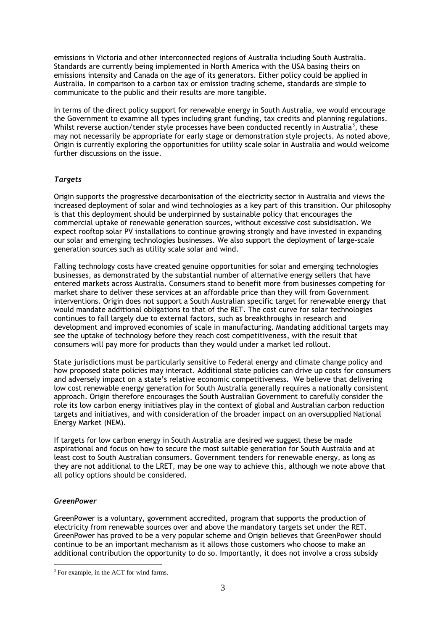emissions in Victoria and other interconnected regions of Australia including South Australia. Standards are currently being implemented in North America with the USA basing theirs on emissions intensity and Canada on the age of its generators. Either policy could be applied in Australia. In comparison to a carbon tax or emission trading scheme, standards are simple to communicate to the public and their results are more tangible.

In terms of the direct policy support for renewable energy in South Australia, we would encourage the Government to examine all types including grant funding, tax credits and planning regulations. Whilst reverse auction/tender style processes have been conducted recently in Australia<sup>3</sup>, these may not necessarily be appropriate for early stage or demonstration style projects. As noted above, Origin is currently exploring the opportunities for utility scale solar in Australia and would welcome further discussions on the issue.

# *Targets*

Origin supports the progressive decarbonisation of the electricity sector in Australia and views the increased deployment of solar and wind technologies as a key part of this transition. Our philosophy is that this deployment should be underpinned by sustainable policy that encourages the commercial uptake of renewable generation sources, without excessive cost subsidisation. We expect rooftop solar PV installations to continue growing strongly and have invested in expanding our solar and emerging technologies businesses. We also support the deployment of large-scale generation sources such as utility scale solar and wind.

Falling technology costs have created genuine opportunities for solar and emerging technologies businesses, as demonstrated by the substantial number of alternative energy sellers that have entered markets across Australia. Consumers stand to benefit more from businesses competing for market share to deliver these services at an affordable price than they will from Government interventions. Origin does not support a South Australian specific target for renewable energy that would mandate additional obligations to that of the RET. The cost curve for solar technologies continues to fall largely due to external factors, such as breakthroughs in research and development and improved economies of scale in manufacturing. Mandating additional targets may see the uptake of technology before they reach cost competitiveness, with the result that consumers will pay more for products than they would under a market led rollout.

State jurisdictions must be particularly sensitive to Federal energy and climate change policy and how proposed state policies may interact. Additional state policies can drive up costs for consumers and adversely impact on a state's relative economic competitiveness. We believe that delivering low cost renewable energy generation for South Australia generally requires a nationally consistent approach. Origin therefore encourages the South Australian Government to carefully consider the role its low carbon energy initiatives play in the context of global and Australian carbon reduction targets and initiatives, and with consideration of the broader impact on an oversupplied National Energy Market (NEM).

If targets for low carbon energy in South Australia are desired we suggest these be made aspirational and focus on how to secure the most suitable generation for South Australia and at least cost to South Australian consumers. Government tenders for renewable energy, as long as they are not additional to the LRET, may be one way to achieve this, although we note above that all policy options should be considered.

# *GreenPower*

1

GreenPower is a voluntary, government accredited, program that supports the production of electricity from renewable sources over and above the mandatory targets set under the RET. GreenPower has proved to be a very popular scheme and Origin believes that GreenPower should continue to be an important mechanism as it allows those customers who choose to make an additional contribution the opportunity to do so. Importantly, it does not involve a cross subsidy

<sup>&</sup>lt;sup>3</sup> For example, in the ACT for wind farms.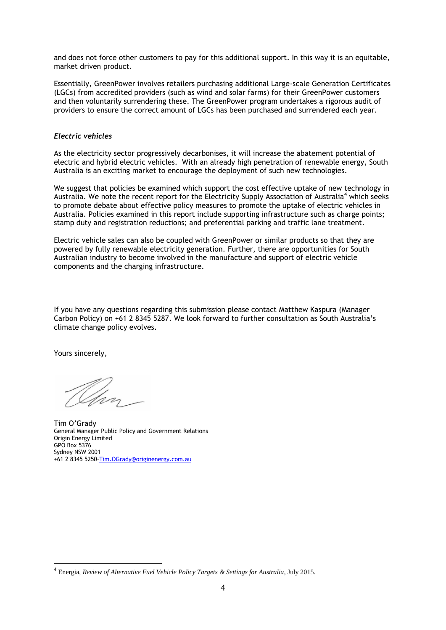and does not force other customers to pay for this additional support. In this way it is an equitable, market driven product.

Essentially, GreenPower involves retailers purchasing additional Large-scale Generation Certificates (LGCs) from accredited providers (such as wind and solar farms) for their GreenPower customers and then voluntarily surrendering these. The GreenPower program undertakes a rigorous audit of providers to ensure the correct amount of LGCs has been purchased and surrendered each year.

#### *Electric vehicles*

As the electricity sector progressively decarbonises, it will increase the abatement potential of electric and hybrid electric vehicles. With an already high penetration of renewable energy, South Australia is an exciting market to encourage the deployment of such new technologies.

We suggest that policies be examined which support the cost effective uptake of new technology in Australia. We note the recent report for the Electricity Supply Association of Australia<sup>4</sup> which seeks to promote debate about effective policy measures to promote the uptake of electric vehicles in Australia. Policies examined in this report include supporting infrastructure such as charge points; stamp duty and registration reductions; and preferential parking and traffic lane treatment.

Electric vehicle sales can also be coupled with GreenPower or similar products so that they are powered by fully renewable electricity generation. Further, there are opportunities for South Australian industry to become involved in the manufacture and support of electric vehicle components and the charging infrastructure.

If you have any questions regarding this submission please contact Matthew Kaspura (Manager Carbon Policy) on +61 2 8345 5287. We look forward to further consultation as South Australia's climate change policy evolves.

Yours sincerely,

1

Tim O'Grady General Manager Public Policy and Government Relations Origin Energy Limited GPO Box 5376 Sydney NSW 2001 +61 2 8345 5250–[Tim.OGrady@originenergy.com.au](mailto:Tim.OGrady@originenergy.com.au)

<sup>4</sup> Energia, *Review of Alternative Fuel Vehicle Policy Targets & Settings for Australia*, July 2015.